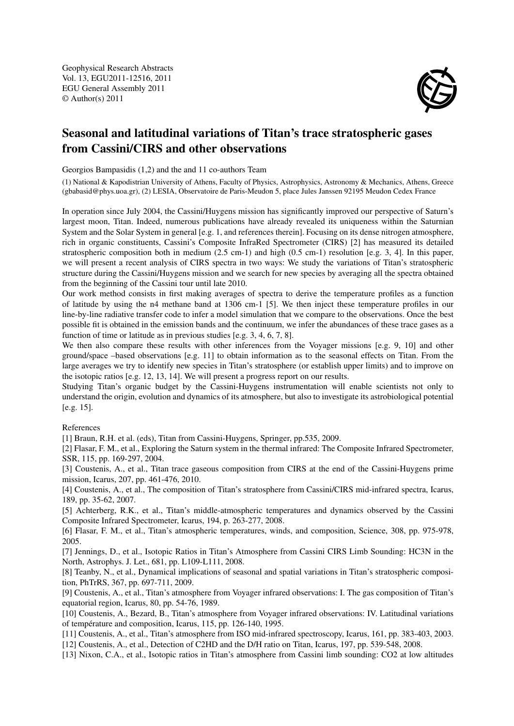Geophysical Research Abstracts Vol. 13, EGU2011-12516, 2011 EGU General Assembly 2011 © Author(s) 2011



## Seasonal and latitudinal variations of Titan's trace stratospheric gases from Cassini/CIRS and other observations

Georgios Bampasidis (1,2) and the and 11 co-authors Team

(1) National & Kapodistrian University of Athens, Faculty of Physics, Astrophysics, Astronomy & Mechanics, Athens, Greece (gbabasid@phys.uoa.gr), (2) LESIA, Observatoire de Paris-Meudon 5, place Jules Janssen 92195 Meudon Cedex France

In operation since July 2004, the Cassini/Huygens mission has significantly improved our perspective of Saturn's largest moon, Titan. Indeed, numerous publications have already revealed its uniqueness within the Saturnian System and the Solar System in general [e.g. 1, and references therein]. Focusing on its dense nitrogen atmosphere, rich in organic constituents, Cassini's Composite InfraRed Spectrometer (CIRS) [2] has measured its detailed stratospheric composition both in medium (2.5 cm-1) and high (0.5 cm-1) resolution [e.g. 3, 4]. In this paper, we will present a recent analysis of CIRS spectra in two ways: We study the variations of Titan's stratospheric structure during the Cassini/Huygens mission and we search for new species by averaging all the spectra obtained from the beginning of the Cassini tour until late 2010.

Our work method consists in first making averages of spectra to derive the temperature profiles as a function of latitude by using the n4 methane band at 1306 cm-1 [5]. We then inject these temperature profiles in our line-by-line radiative transfer code to infer a model simulation that we compare to the observations. Once the best possible fit is obtained in the emission bands and the continuum, we infer the abundances of these trace gases as a function of time or latitude as in previous studies [e.g. 3, 4, 6, 7, 8].

We then also compare these results with other inferences from the Voyager missions [e.g. 9, 10] and other ground/space –based observations [e.g. 11] to obtain information as to the seasonal effects on Titan. From the large averages we try to identify new species in Titan's stratosphere (or establish upper limits) and to improve on the isotopic ratios [e.g. 12, 13, 14]. We will present a progress report on our results.

Studying Titan's organic budget by the Cassini-Huygens instrumentation will enable scientists not only to understand the origin, evolution and dynamics of its atmosphere, but also to investigate its astrobiological potential [e.g. 15].

References

[1] Braun, R.H. et al. (eds), Titan from Cassini-Huygens, Springer, pp.535, 2009.

[2] Flasar, F. M., et al., Exploring the Saturn system in the thermal infrared: The Composite Infrared Spectrometer, SSR, 115, pp. 169-297, 2004.

[3] Coustenis, A., et al., Titan trace gaseous composition from CIRS at the end of the Cassini-Huygens prime mission, Icarus, 207, pp. 461-476, 2010.

[4] Coustenis, A., et al., The composition of Titan's stratosphere from Cassini/CIRS mid-infrared spectra, Icarus, 189, pp. 35-62, 2007.

[5] Achterberg, R.K., et al., Titan's middle-atmospheric temperatures and dynamics observed by the Cassini Composite Infrared Spectrometer, Icarus, 194, p. 263-277, 2008.

[6] Flasar, F. M., et al., Titan's atmospheric temperatures, winds, and composition, Science, 308, pp. 975-978, 2005.

[7] Jennings, D., et al., Isotopic Ratios in Titan's Atmosphere from Cassini CIRS Limb Sounding: HC3N in the North, Astrophys. J. Let., 681, pp. L109-L111, 2008.

[8] Teanby, N., et al., Dynamical implications of seasonal and spatial variations in Titan's stratospheric composition, PhTrRS, 367, pp. 697-711, 2009.

[9] Coustenis, A., et al., Titan's atmosphere from Voyager infrared observations: I. The gas composition of Titan's equatorial region, Icarus, 80, pp. 54-76, 1989.

[10] Coustenis, A., Bezard, B., Titan's atmosphere from Voyager infrared observations: IV. Latitudinal variations of température and composition, Icarus, 115, pp. 126-140, 1995.

[11] Coustenis, A., et al., Titan's atmosphere from ISO mid-infrared spectroscopy, Icarus, 161, pp. 383-403, 2003.

[12] Coustenis, A., et al., Detection of C2HD and the D/H ratio on Titan, Icarus, 197, pp. 539-548, 2008.

[13] Nixon, C.A., et al., Isotopic ratios in Titan's atmosphere from Cassini limb sounding: CO2 at low altitudes